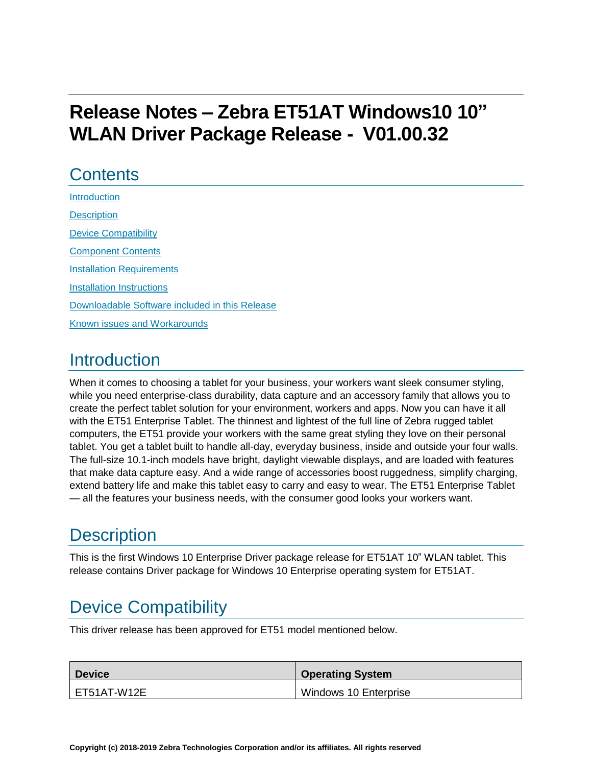# **Release Notes – Zebra ET51AT Windows10 10" WLAN Driver Package Release - V01.00.32**

#### **Contents**

| Introduction                                   |
|------------------------------------------------|
| <b>Description</b>                             |
| <b>Device Compatibility</b>                    |
| <b>Component Contents</b>                      |
| <b>Installation Requirements</b>               |
| Installation Instructions                      |
| Downloadable Software included in this Release |
| <b>Known issues and Workarounds</b>            |

### <span id="page-0-1"></span><span id="page-0-0"></span>**Introduction**

When it comes to choosing a tablet for your business, your workers want sleek consumer styling, while you need enterprise-class durability, data capture and an accessory family that allows you to create the perfect tablet solution for your environment, workers and apps. Now you can have it all with the ET51 Enterprise Tablet. The thinnest and lightest of the full line of Zebra rugged tablet computers, the ET51 provide your workers with the same great styling they love on their personal tablet. You get a tablet built to handle all-day, everyday business, inside and outside your four walls. The full-size 10.1-inch models have bright, daylight viewable displays, and are loaded with features that make data capture easy. And a wide range of accessories boost ruggedness, simplify charging, extend battery life and make this tablet easy to carry and easy to wear. The ET51 Enterprise Tablet — all the features your business needs, with the consumer good looks your workers want.

### **Description**

This is the first Windows 10 Enterprise Driver package release for ET51AT 10" WLAN tablet. This release contains Driver package for Windows 10 Enterprise operating system for ET51AT.

## <span id="page-0-2"></span>Device Compatibility

This driver release has been approved for ET51 model mentioned below.

| <b>Device</b> | <b>Operating System</b> |
|---------------|-------------------------|
| ET51AT-W12E   | Windows 10 Enterprise   |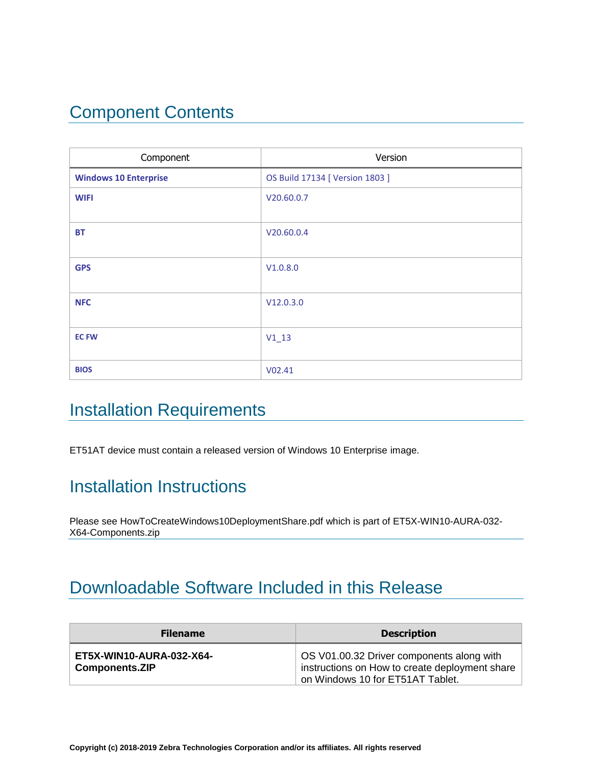## <span id="page-1-0"></span>Component Contents

| Component                    | Version                         |
|------------------------------|---------------------------------|
| <b>Windows 10 Enterprise</b> | OS Build 17134 [ Version 1803 ] |
| <b>WIFI</b>                  | V20.60.0.7                      |
|                              |                                 |
| <b>BT</b>                    | V20.60.0.4                      |
|                              |                                 |
| <b>GPS</b>                   | V1.0.8.0                        |
|                              |                                 |
| <b>NFC</b>                   | V12.0.3.0                       |
|                              |                                 |
| <b>EC FW</b>                 | $V1_13$                         |
|                              |                                 |
| <b>BIOS</b>                  | V02.41                          |

### <span id="page-1-1"></span>Installation Requirements

ET51AT device must contain a released version of Windows 10 Enterprise image.

#### <span id="page-1-2"></span>Installation Instructions

Please see HowToCreateWindows10DeploymentShare.pdf which is part of ET5X-WIN10-AURA-032- X64-Components.zip

### <span id="page-1-3"></span>Downloadable Software Included in this Release

| <b>Filename</b>                                   | <b>Description</b>                                                                                                              |
|---------------------------------------------------|---------------------------------------------------------------------------------------------------------------------------------|
| ET5X-WIN10-AURA-032-X64-<br><b>Components.ZIP</b> | OS V01.00.32 Driver components along with<br>instructions on How to create deployment share<br>on Windows 10 for ET51AT Tablet. |